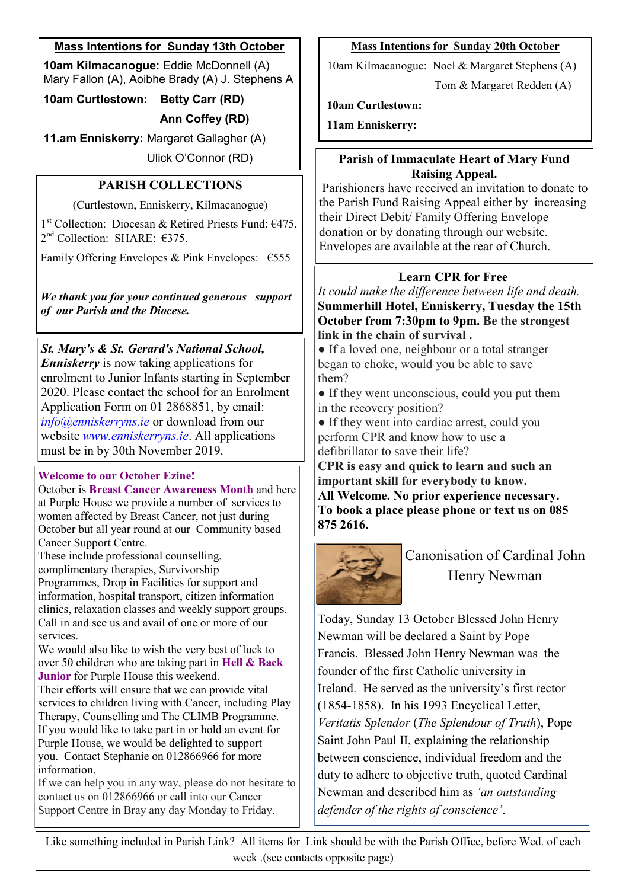# **Mass Intentions for Sunday 13th October**

**10am Kilmacanogue:** Eddie McDonnell (A) Mary Fallon (A), Aoibhe Brady (A) J. Stephens A

**10am Curtlestown: Betty Carr (RD) Ann Coffey (RD)**

**11.am Enniskerry:** Margaret Gallagher (A)

Ulick O'Connor (RD)

# **PARISH COLLECTIONS**

(Curtlestown, Enniskerry, Kilmacanogue)

1 st Collection: Diocesan & Retired Priests Fund: €475, 2<sup>nd</sup> Collection: SHARE: €375.

Family Offering Envelopes & Pink Envelopes:  $\epsilon$ 555

*We thank you for your continued generous support of our Parish and the Diocese.*

*St. Mary's & St. Gerard's National School, Enniskerry* is now taking applications for enrolment to Junior Infants starting in September 2020. Please contact the school for an Enrolment Application Form on 01 2868851, by email: *[info@enniskerryns.ie](mailto:info@enniskerryns.ie)* or download from our website *[www.enniskerryns.ie](http://www.enniskerryns.ie)*. All applications must be in by 30th November 2019.

# **Welcome to our October Ezine!**

October is **Breast Cancer Awareness Month** and here at Purple House we provide a number of services to women affected by Breast Cancer, not just during October but all year round at our Community based Cancer Support Centre.

These include professional counselling,

complimentary therapies, Survivorship

Programmes, Drop in Facilities for support and information, hospital transport, citizen information clinics, relaxation classes and weekly support groups. Call in and see us and avail of one or more of our services.

We would also like to wish the very best of luck to over 50 children who are taking part in **Hell & Back Junior** for Purple House this weekend.

Their efforts will ensure that we can provide vital services to children living with Cancer, including Play Therapy, Counselling and The CLIMB Programme. If you would like to take part in or hold an event for Purple House, we would be delighted to support you. Contact Stephanie on 012866966 for more information.

If we can help you in any way, please do not hesitate to contact us on 012866966 or call into our Cancer Support Centre in Bray any day Monday to Friday.

## **Mass Intentions for Sunday 20th October**

10am Kilmacanogue: Noel & Margaret Stephens (A)

Tom & Margaret Redden (A)

**10am Curtlestown:** 

**11am Enniskerry:** 

# **Parish of Immaculate Heart of Mary Fund Raising Appeal.**

Parishioners have received an invitation to donate to the Parish Fund Raising Appeal either by increasing their Direct Debit/ Family Offering Envelope donation or by donating through our website. Envelopes are available at the rear of Church.

# **Learn CPR for Free**

*It could make the difference between life and death.* **Summerhill Hotel, Enniskerry, Tuesday the 15th October from 7:30pm to 9pm. Be the strongest link in the chain of survival .**

• If a loved one, neighbour or a total stranger began to choke, would you be able to save them?

• If they went unconscious, could you put them in the recovery position?

• If they went into cardiac arrest, could you perform CPR and know how to use a defibrillator to save their life?

**CPR is easy and quick to learn and such an important skill for everybody to know. All Welcome. No prior experience necessary. To book a place please phone or text us on 085 875 2616.**



Canonisation of Cardinal John Henry Newman

Today, Sunday 13 October Blessed John Henry Newman will be declared a Saint by Pope Francis. Blessed John Henry Newman was the founder of the first Catholic university in Ireland. He served as the university's first rector (1854-1858). In his 1993 Encyclical Letter, *Veritatis Splendor* (*The Splendour of Truth*), Pope Saint John Paul II, explaining the relationship between conscience, individual freedom and the duty to adhere to objective truth, quoted Cardinal Newman and described him as *'an outstanding defender of the rights of conscience'*.

Like something included in Parish Link? All items for Link should be with the Parish Office, before Wed. of each week .(see contacts opposite page)